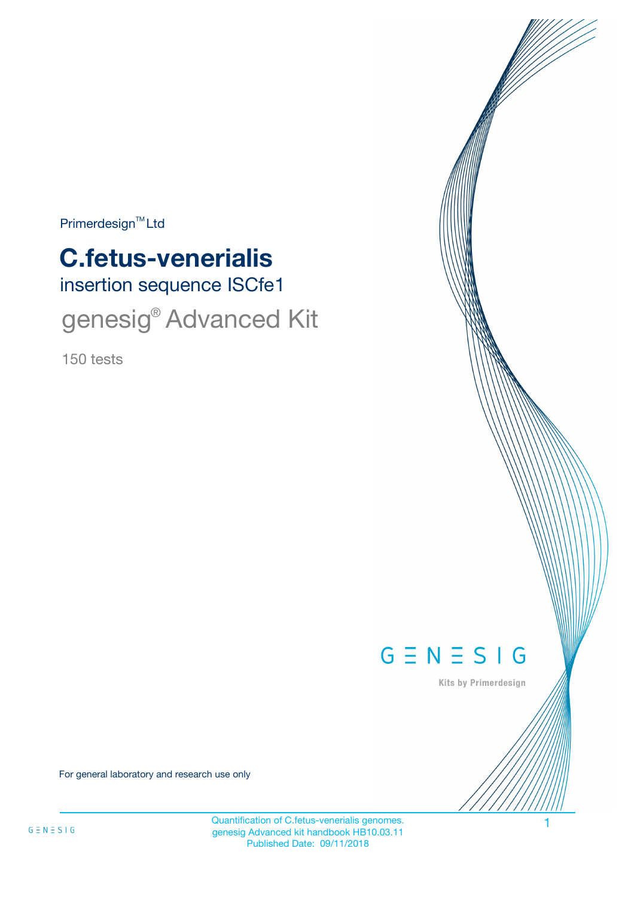$Primerdesign<sup>™</sup>Ltd$ 

# insertion sequence ISCfe1 **C.fetus-venerialis** genesig<sup>®</sup> Advanced Kit

150 tests



Kits by Primerdesign

For general laboratory and research use only

Quantification of C.fetus-venerialis genomes. 1 genesig Advanced kit handbook HB10.03.11 Published Date: 09/11/2018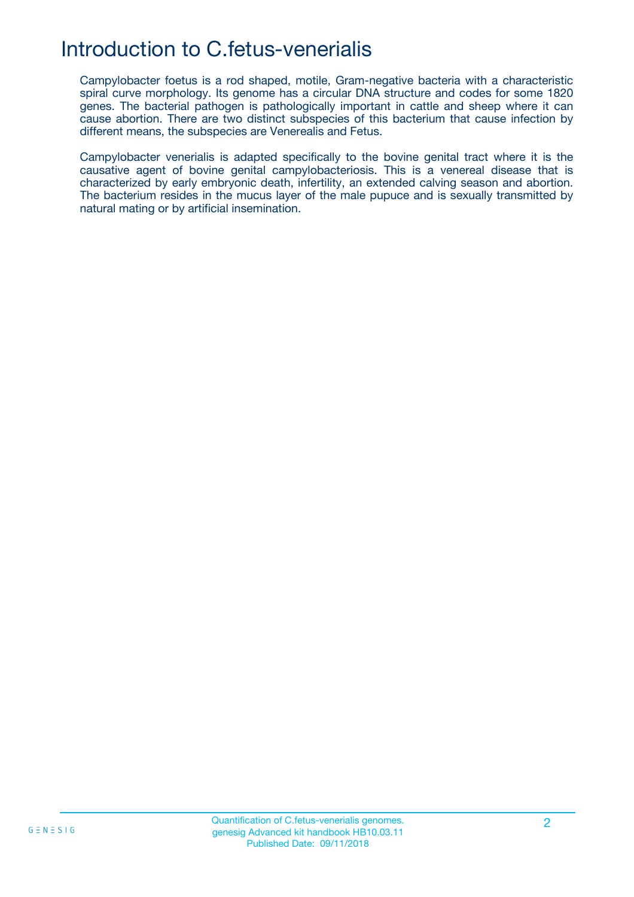## Introduction to C.fetus-venerialis

Campylobacter foetus is a rod shaped, motile, Gram-negative bacteria with a characteristic spiral curve morphology. Its genome has a circular DNA structure and codes for some 1820 genes. The bacterial pathogen is pathologically important in cattle and sheep where it can cause abortion. There are two distinct subspecies of this bacterium that cause infection by different means, the subspecies are Venerealis and Fetus.

Campylobacter venerialis is adapted specifically to the bovine genital tract where it is the causative agent of bovine genital campylobacteriosis. This is a venereal disease that is characterized by early embryonic death, infertility, an extended calving season and abortion. The bacterium resides in the mucus layer of the male pupuce and is sexually transmitted by natural mating or by artificial insemination.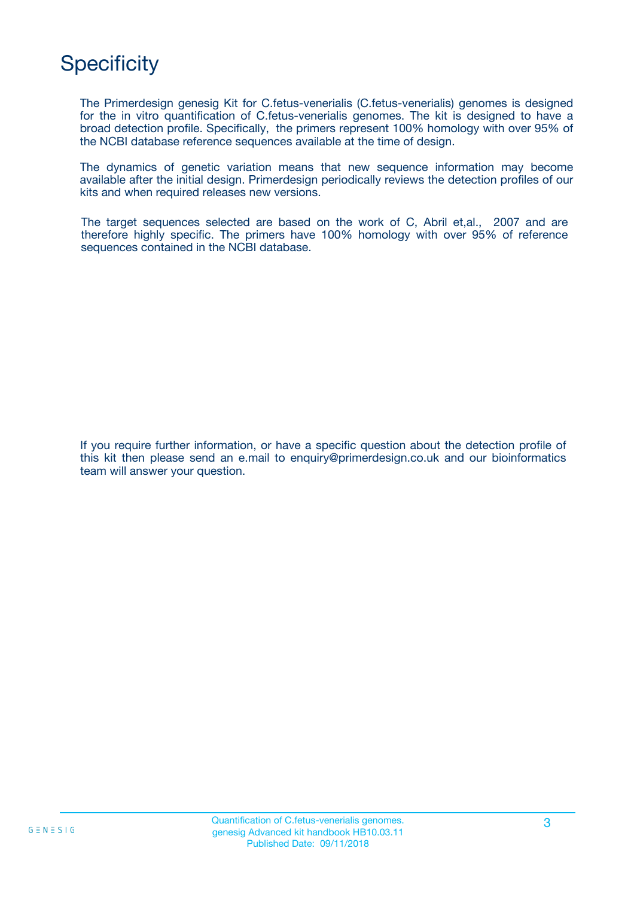## **Specificity**

The Primerdesign genesig Kit for C.fetus-venerialis (C.fetus-venerialis) genomes is designed for the in vitro quantification of C.fetus-venerialis genomes. The kit is designed to have a broad detection profile. Specifically, the primers represent 100% homology with over 95% of the NCBI database reference sequences available at the time of design.

The dynamics of genetic variation means that new sequence information may become available after the initial design. Primerdesign periodically reviews the detection profiles of our kits and when required releases new versions.

The target sequences selected are based on the work of C, Abril et,al., 2007 and are therefore highly specific. The primers have 100% homology with over 95% of reference sequences contained in the NCBI database.

If you require further information, or have a specific question about the detection profile of this kit then please send an e.mail to enquiry@primerdesign.co.uk and our bioinformatics team will answer your question.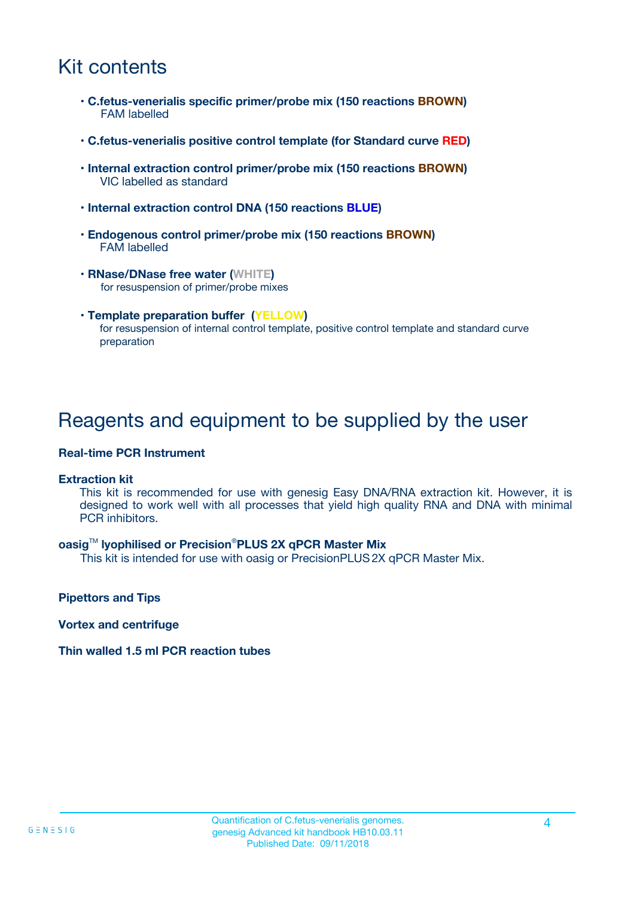## Kit contents

- **C.fetus-venerialis specific primer/probe mix (150 reactions BROWN)** FAM labelled
- **C.fetus-venerialis positive control template (for Standard curve RED)**
- **Internal extraction control primer/probe mix (150 reactions BROWN)** VIC labelled as standard
- **Internal extraction control DNA (150 reactions BLUE)**
- **Endogenous control primer/probe mix (150 reactions BROWN)** FAM labelled
- **RNase/DNase free water (WHITE)** for resuspension of primer/probe mixes
- **Template preparation buffer (YELLOW)** for resuspension of internal control template, positive control template and standard curve preparation

### Reagents and equipment to be supplied by the user

#### **Real-time PCR Instrument**

#### **Extraction kit**

This kit is recommended for use with genesig Easy DNA/RNA extraction kit. However, it is designed to work well with all processes that yield high quality RNA and DNA with minimal PCR inhibitors.

#### **oasig**TM **lyophilised or Precision**®**PLUS 2X qPCR Master Mix**

This kit is intended for use with oasig or PrecisionPLUS2X qPCR Master Mix.

**Pipettors and Tips**

**Vortex and centrifuge**

#### **Thin walled 1.5 ml PCR reaction tubes**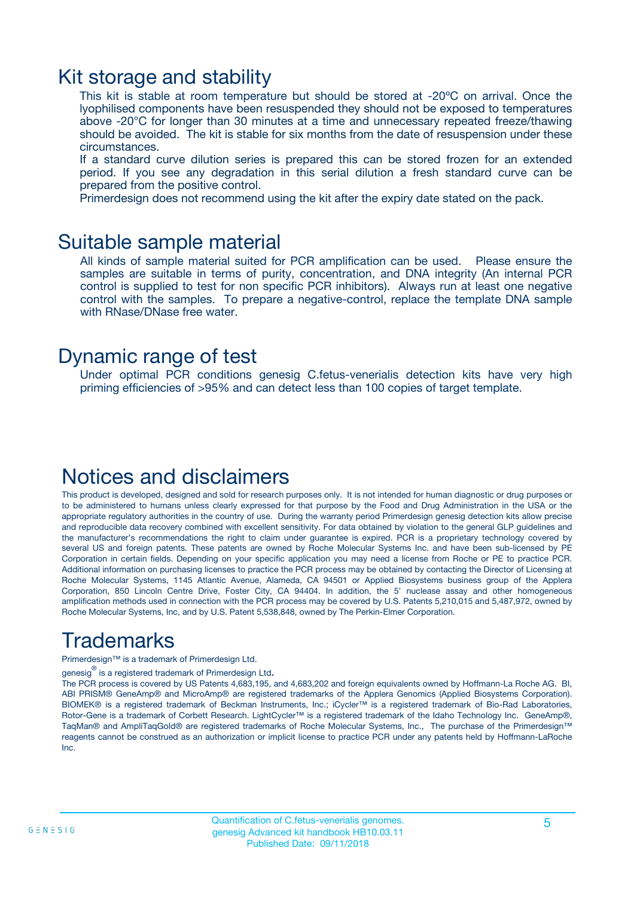### Kit storage and stability

This kit is stable at room temperature but should be stored at -20ºC on arrival. Once the lyophilised components have been resuspended they should not be exposed to temperatures above -20°C for longer than 30 minutes at a time and unnecessary repeated freeze/thawing should be avoided. The kit is stable for six months from the date of resuspension under these circumstances.

If a standard curve dilution series is prepared this can be stored frozen for an extended period. If you see any degradation in this serial dilution a fresh standard curve can be prepared from the positive control.

Primerdesign does not recommend using the kit after the expiry date stated on the pack.

### Suitable sample material

All kinds of sample material suited for PCR amplification can be used. Please ensure the samples are suitable in terms of purity, concentration, and DNA integrity (An internal PCR control is supplied to test for non specific PCR inhibitors). Always run at least one negative control with the samples. To prepare a negative-control, replace the template DNA sample with RNase/DNase free water.

### Dynamic range of test

Under optimal PCR conditions genesig C.fetus-venerialis detection kits have very high priming efficiencies of >95% and can detect less than 100 copies of target template.

### Notices and disclaimers

This product is developed, designed and sold for research purposes only. It is not intended for human diagnostic or drug purposes or to be administered to humans unless clearly expressed for that purpose by the Food and Drug Administration in the USA or the appropriate regulatory authorities in the country of use. During the warranty period Primerdesign genesig detection kits allow precise and reproducible data recovery combined with excellent sensitivity. For data obtained by violation to the general GLP guidelines and the manufacturer's recommendations the right to claim under guarantee is expired. PCR is a proprietary technology covered by several US and foreign patents. These patents are owned by Roche Molecular Systems Inc. and have been sub-licensed by PE Corporation in certain fields. Depending on your specific application you may need a license from Roche or PE to practice PCR. Additional information on purchasing licenses to practice the PCR process may be obtained by contacting the Director of Licensing at Roche Molecular Systems, 1145 Atlantic Avenue, Alameda, CA 94501 or Applied Biosystems business group of the Applera Corporation, 850 Lincoln Centre Drive, Foster City, CA 94404. In addition, the 5' nuclease assay and other homogeneous amplification methods used in connection with the PCR process may be covered by U.S. Patents 5,210,015 and 5,487,972, owned by Roche Molecular Systems, Inc, and by U.S. Patent 5,538,848, owned by The Perkin-Elmer Corporation.

## Trademarks

Primerdesign™ is a trademark of Primerdesign Ltd.

genesig $^\circledR$  is a registered trademark of Primerdesign Ltd.

The PCR process is covered by US Patents 4,683,195, and 4,683,202 and foreign equivalents owned by Hoffmann-La Roche AG. BI, ABI PRISM® GeneAmp® and MicroAmp® are registered trademarks of the Applera Genomics (Applied Biosystems Corporation). BIOMEK® is a registered trademark of Beckman Instruments, Inc.; iCycler™ is a registered trademark of Bio-Rad Laboratories, Rotor-Gene is a trademark of Corbett Research. LightCycler™ is a registered trademark of the Idaho Technology Inc. GeneAmp®, TaqMan® and AmpliTaqGold® are registered trademarks of Roche Molecular Systems, Inc., The purchase of the Primerdesign™ reagents cannot be construed as an authorization or implicit license to practice PCR under any patents held by Hoffmann-LaRoche Inc.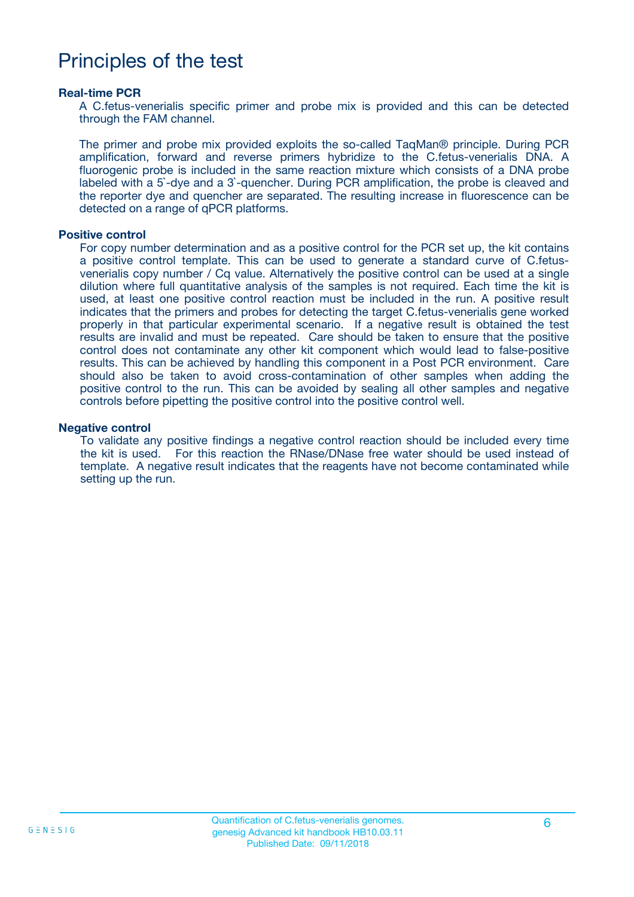## Principles of the test

#### **Real-time PCR**

A C.fetus-venerialis specific primer and probe mix is provided and this can be detected through the FAM channel.

The primer and probe mix provided exploits the so-called TaqMan® principle. During PCR amplification, forward and reverse primers hybridize to the C.fetus-venerialis DNA. A fluorogenic probe is included in the same reaction mixture which consists of a DNA probe labeled with a 5`-dye and a 3`-quencher. During PCR amplification, the probe is cleaved and the reporter dye and quencher are separated. The resulting increase in fluorescence can be detected on a range of qPCR platforms.

#### **Positive control**

For copy number determination and as a positive control for the PCR set up, the kit contains a positive control template. This can be used to generate a standard curve of C.fetusvenerialis copy number / Cq value. Alternatively the positive control can be used at a single dilution where full quantitative analysis of the samples is not required. Each time the kit is used, at least one positive control reaction must be included in the run. A positive result indicates that the primers and probes for detecting the target C.fetus-venerialis gene worked properly in that particular experimental scenario. If a negative result is obtained the test results are invalid and must be repeated. Care should be taken to ensure that the positive control does not contaminate any other kit component which would lead to false-positive results. This can be achieved by handling this component in a Post PCR environment. Care should also be taken to avoid cross-contamination of other samples when adding the positive control to the run. This can be avoided by sealing all other samples and negative controls before pipetting the positive control into the positive control well.

#### **Negative control**

To validate any positive findings a negative control reaction should be included every time the kit is used. For this reaction the RNase/DNase free water should be used instead of template. A negative result indicates that the reagents have not become contaminated while setting up the run.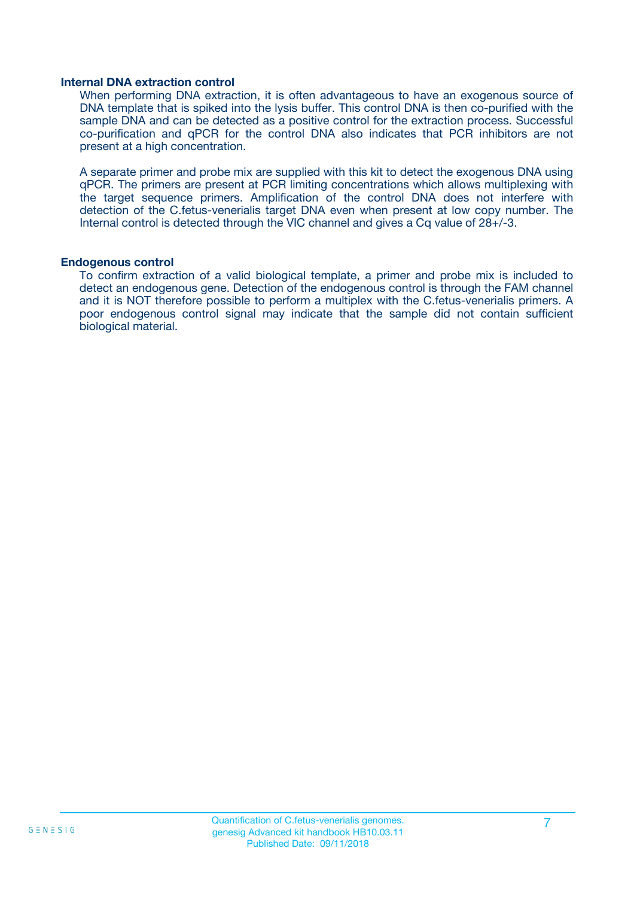#### **Internal DNA extraction control**

When performing DNA extraction, it is often advantageous to have an exogenous source of DNA template that is spiked into the lysis buffer. This control DNA is then co-purified with the sample DNA and can be detected as a positive control for the extraction process. Successful co-purification and qPCR for the control DNA also indicates that PCR inhibitors are not present at a high concentration.

A separate primer and probe mix are supplied with this kit to detect the exogenous DNA using qPCR. The primers are present at PCR limiting concentrations which allows multiplexing with the target sequence primers. Amplification of the control DNA does not interfere with detection of the C.fetus-venerialis target DNA even when present at low copy number. The Internal control is detected through the VIC channel and gives a Cq value of 28+/-3.

#### **Endogenous control**

To confirm extraction of a valid biological template, a primer and probe mix is included to detect an endogenous gene. Detection of the endogenous control is through the FAM channel and it is NOT therefore possible to perform a multiplex with the C.fetus-venerialis primers. A poor endogenous control signal may indicate that the sample did not contain sufficient biological material.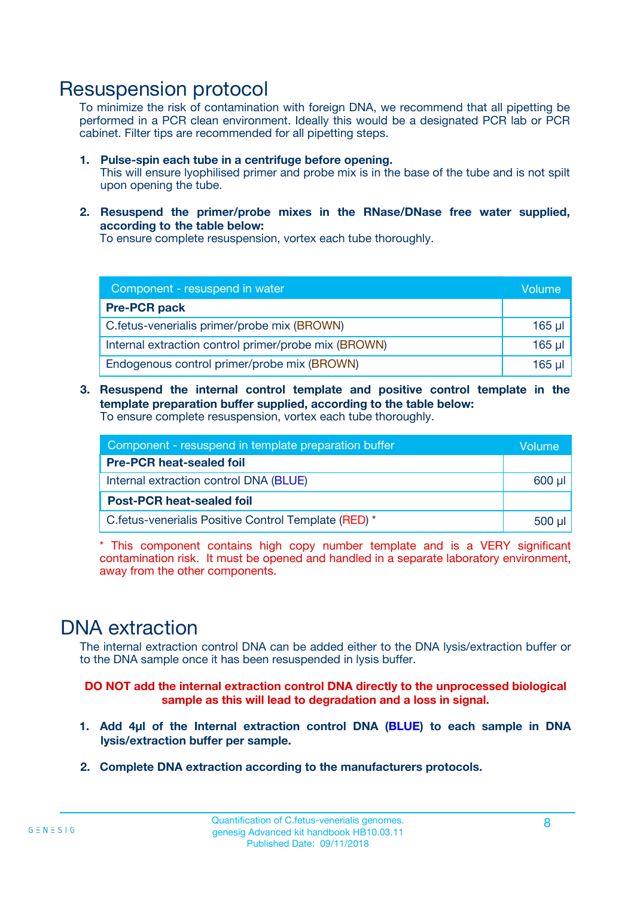### Resuspension protocol

To minimize the risk of contamination with foreign DNA, we recommend that all pipetting be performed in a PCR clean environment. Ideally this would be a designated PCR lab or PCR cabinet. Filter tips are recommended for all pipetting steps.

- **1. Pulse-spin each tube in a centrifuge before opening.** This will ensure lyophilised primer and probe mix is in the base of the tube and is not spilt upon opening the tube.
- **2. Resuspend the primer/probe mixes in the RNase/DNase free water supplied, according to the table below:**

To ensure complete resuspension, vortex each tube thoroughly.

| Component - resuspend in water                       |          |  |
|------------------------------------------------------|----------|--|
| <b>Pre-PCR pack</b>                                  |          |  |
| C.fetus-venerialis primer/probe mix (BROWN)          | $165$ µl |  |
| Internal extraction control primer/probe mix (BROWN) | $165$ µl |  |
| Endogenous control primer/probe mix (BROWN)          | 165 µl   |  |

**3. Resuspend the internal control template and positive control template in the template preparation buffer supplied, according to the table below:** To ensure complete resuspension, vortex each tube thoroughly.

| Component - resuspend in template preparation buffer  |  |  |  |
|-------------------------------------------------------|--|--|--|
| <b>Pre-PCR heat-sealed foil</b>                       |  |  |  |
| Internal extraction control DNA (BLUE)                |  |  |  |
| <b>Post-PCR heat-sealed foil</b>                      |  |  |  |
| C. fetus-venerialis Positive Control Template (RED) * |  |  |  |

\* This component contains high copy number template and is a VERY significant contamination risk. It must be opened and handled in a separate laboratory environment, away from the other components.

### DNA extraction

The internal extraction control DNA can be added either to the DNA lysis/extraction buffer or to the DNA sample once it has been resuspended in lysis buffer.

**DO NOT add the internal extraction control DNA directly to the unprocessed biological sample as this will lead to degradation and a loss in signal.**

- **1. Add 4µl of the Internal extraction control DNA (BLUE) to each sample in DNA lysis/extraction buffer per sample.**
- **2. Complete DNA extraction according to the manufacturers protocols.**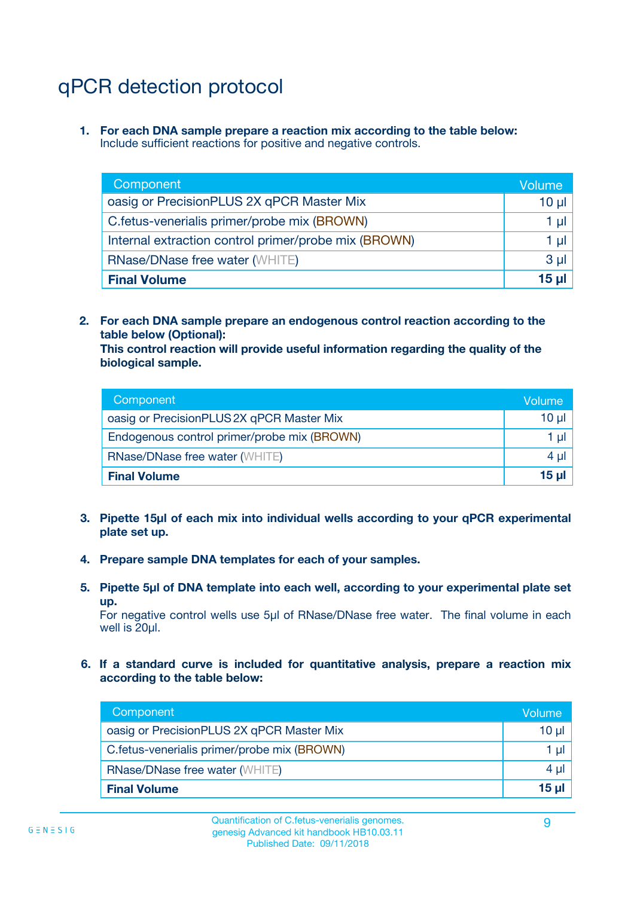## qPCR detection protocol

**1. For each DNA sample prepare a reaction mix according to the table below:** Include sufficient reactions for positive and negative controls.

| Component                                            | Volume   |
|------------------------------------------------------|----------|
| oasig or PrecisionPLUS 2X qPCR Master Mix            | $10 \mu$ |
| C.fetus-venerialis primer/probe mix (BROWN)          | 1 µI l   |
| Internal extraction control primer/probe mix (BROWN) | 1 µl     |
| <b>RNase/DNase free water (WHITE)</b>                | $3 \mu$  |
| <b>Final Volume</b>                                  | 15 ul    |

**2. For each DNA sample prepare an endogenous control reaction according to the table below (Optional):**

**This control reaction will provide useful information regarding the quality of the biological sample.**

| Component                                   | Volume   |
|---------------------------------------------|----------|
| oasig or PrecisionPLUS 2X qPCR Master Mix   | $10 \mu$ |
| Endogenous control primer/probe mix (BROWN) | 1 µI     |
| <b>RNase/DNase free water (WHITE)</b>       | $4 \mu$  |
| <b>Final Volume</b>                         | 15 µl    |

- **3. Pipette 15µl of each mix into individual wells according to your qPCR experimental plate set up.**
- **4. Prepare sample DNA templates for each of your samples.**
- **5. Pipette 5µl of DNA template into each well, according to your experimental plate set up.**

For negative control wells use 5µl of RNase/DNase free water. The final volume in each well is 20ul.

**6. If a standard curve is included for quantitative analysis, prepare a reaction mix according to the table below:**

| Component                                   | Volume          |
|---------------------------------------------|-----------------|
| oasig or PrecisionPLUS 2X qPCR Master Mix   | 10 $\mu$        |
| C.fetus-venerialis primer/probe mix (BROWN) | 1 µI -          |
| <b>RNase/DNase free water (WHITE)</b>       | 4 µl            |
| <b>Final Volume</b>                         | 15 <sub>µ</sub> |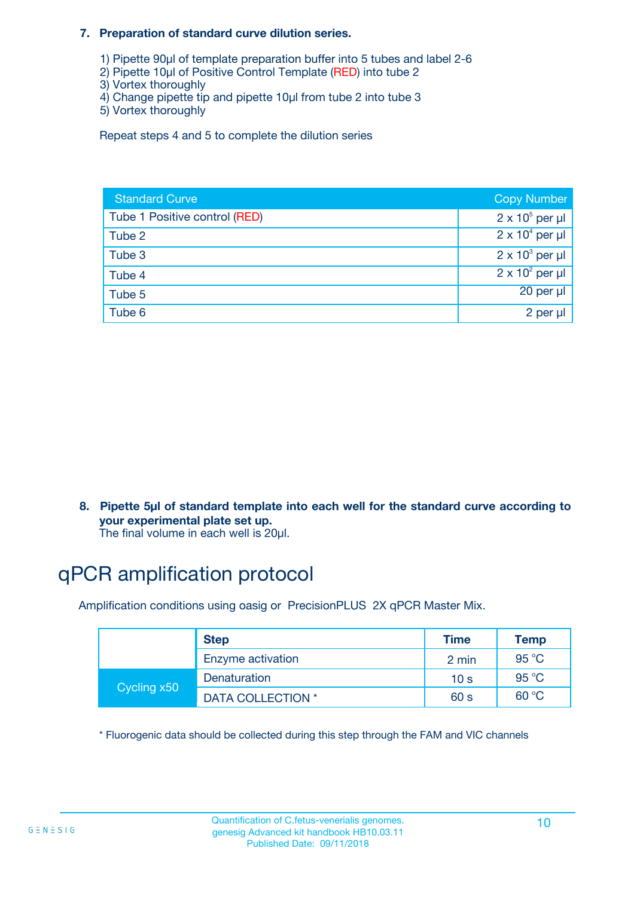#### **7. Preparation of standard curve dilution series.**

- 1) Pipette 90µl of template preparation buffer into 5 tubes and label 2-6
- 2) Pipette 10µl of Positive Control Template (RED) into tube 2
- 3) Vortex thoroughly
- 4) Change pipette tip and pipette 10µl from tube 2 into tube 3
- 5) Vortex thoroughly

Repeat steps 4 and 5 to complete the dilution series

| <b>Standard Curve</b>         | <b>Copy Number</b>     |
|-------------------------------|------------------------|
| Tube 1 Positive control (RED) | $2 \times 10^5$ per µl |
| Tube 2                        | $2 \times 10^4$ per µl |
| Tube 3                        | $2 \times 10^3$ per µl |
| Tube 4                        | $2 \times 10^2$ per µl |
| Tube 5                        | 20 per µl              |
| Tube 6                        | 2 per µl               |

**8. Pipette 5µl of standard template into each well for the standard curve according to your experimental plate set up.**

#### The final volume in each well is 20µl.

## qPCR amplification protocol

Amplification conditions using oasig or PrecisionPLUS 2X qPCR Master Mix.

|             | <b>Step</b>       | <b>Time</b>     | Temp    |
|-------------|-------------------|-----------------|---------|
|             | Enzyme activation | 2 min           | 95 °C   |
| Cycling x50 | Denaturation      | 10 <sub>s</sub> | 95 $°C$ |
|             | DATA COLLECTION * | 60 s            | 60 °C   |

\* Fluorogenic data should be collected during this step through the FAM and VIC channels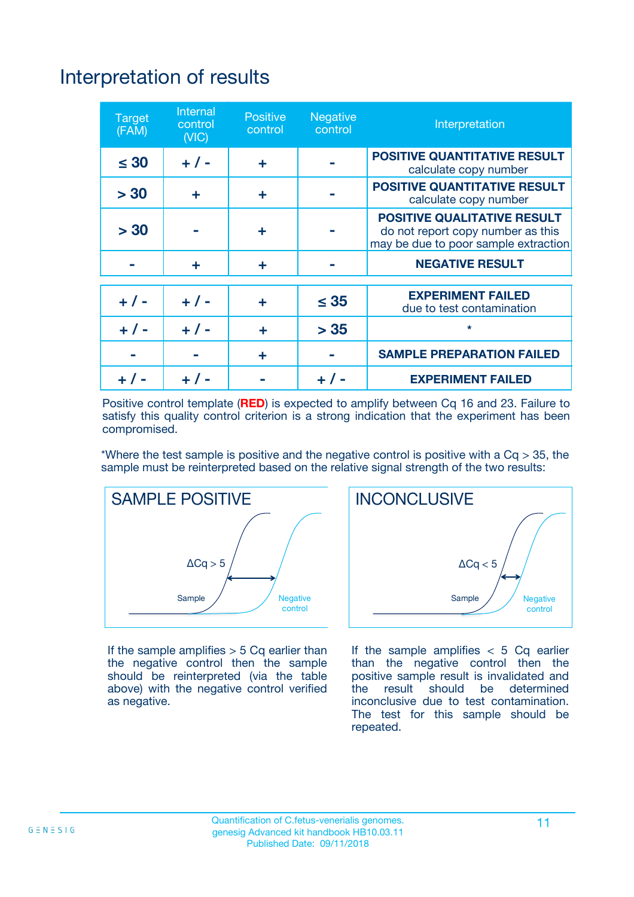## Interpretation of results

| <b>Target</b><br>(FAM) | <b>Internal</b><br>control<br>(NIC) | <b>Positive</b><br>control | <b>Negative</b><br>control | Interpretation                                                                                                  |
|------------------------|-------------------------------------|----------------------------|----------------------------|-----------------------------------------------------------------------------------------------------------------|
| $\leq 30$              | $+ 1 -$                             | ÷                          |                            | <b>POSITIVE QUANTITATIVE RESULT</b><br>calculate copy number                                                    |
| > 30                   | ٠                                   | ÷                          |                            | <b>POSITIVE QUANTITATIVE RESULT</b><br>calculate copy number                                                    |
| > 30                   |                                     | ÷                          |                            | <b>POSITIVE QUALITATIVE RESULT</b><br>do not report copy number as this<br>may be due to poor sample extraction |
|                        | ÷                                   | ÷                          |                            | <b>NEGATIVE RESULT</b>                                                                                          |
| $+ 1 -$                | $+ 1 -$                             | ÷                          | $\leq$ 35                  | <b>EXPERIMENT FAILED</b><br>due to test contamination                                                           |
| $+$ / -                | $+ 1 -$                             | ÷                          | > 35                       | $\star$                                                                                                         |
|                        |                                     | ÷                          |                            | <b>SAMPLE PREPARATION FAILED</b>                                                                                |
|                        |                                     |                            | $+$ /                      | <b>EXPERIMENT FAILED</b>                                                                                        |

Positive control template (**RED**) is expected to amplify between Cq 16 and 23. Failure to satisfy this quality control criterion is a strong indication that the experiment has been compromised.

\*Where the test sample is positive and the negative control is positive with a  $Ca > 35$ , the sample must be reinterpreted based on the relative signal strength of the two results:



If the sample amplifies  $> 5$  Cq earlier than the negative control then the sample should be reinterpreted (via the table above) with the negative control verified as negative.



If the sample amplifies  $< 5$  Cq earlier than the negative control then the positive sample result is invalidated and<br>the result should be determined  $the$  result should be inconclusive due to test contamination. The test for this sample should be repeated.